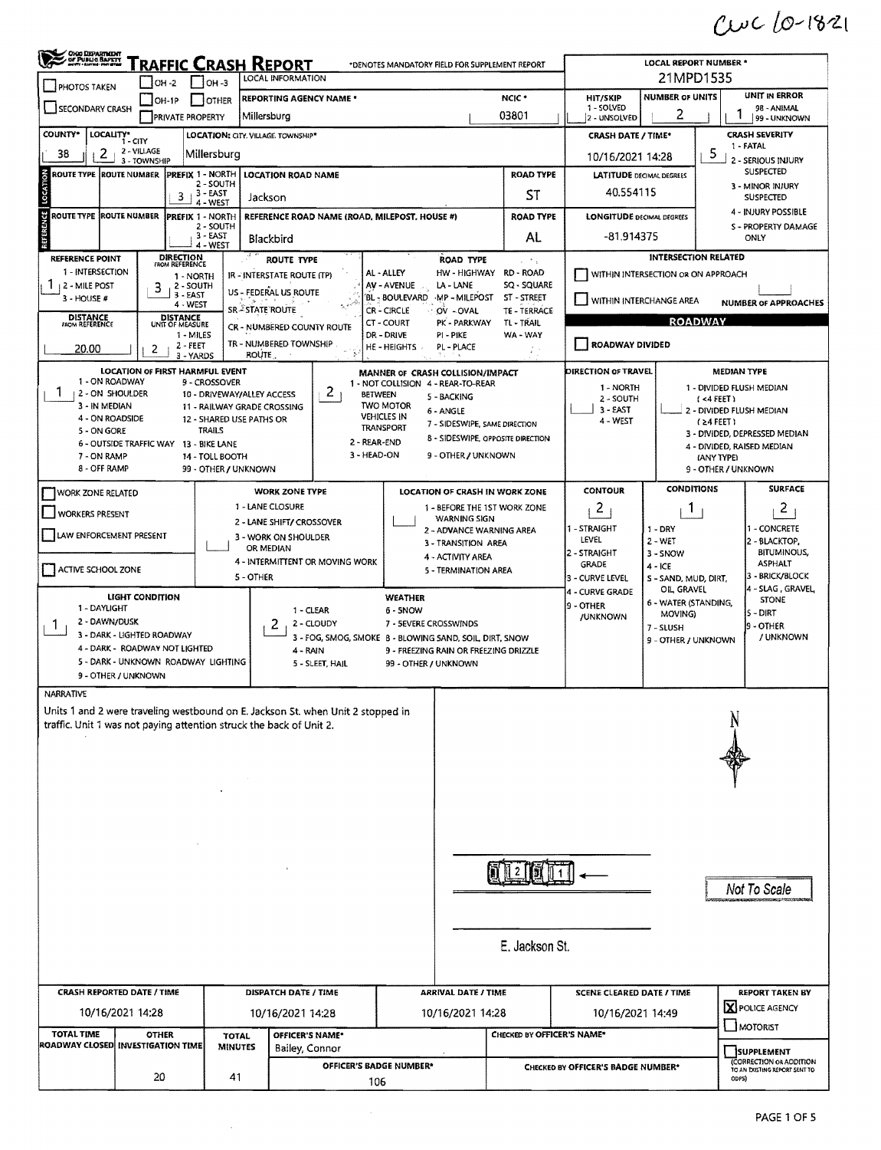$Cwc10-1821$ 

| Choo DEPARTMENT                        | <b>FRAFFIC CRASH REPORT</b>                                         |                                             |                                                                                 | *DENOTES MANDATORY FIELD FOR SUPPLEMENT REPORT                          | <b>LOCAL REPORT NUMBER *</b>                                                |                                   |                                    |                                                    |                     |                                                             |  |  |
|----------------------------------------|---------------------------------------------------------------------|---------------------------------------------|---------------------------------------------------------------------------------|-------------------------------------------------------------------------|-----------------------------------------------------------------------------|-----------------------------------|------------------------------------|----------------------------------------------------|---------------------|-------------------------------------------------------------|--|--|
| <b>PHOTOS TAKEN</b>                    | <b>OH-2</b>                                                         | $ $ 0H-3                                    | LOCAL INFORMATION                                                               |                                                                         |                                                                             |                                   |                                    | 21MPD1535                                          |                     |                                                             |  |  |
|                                        | $ OH-1P$                                                            | I IOTHER                                    | <b>REPORTING AGENCY NAME *</b>                                                  |                                                                         |                                                                             | NCIC <sup>*</sup>                 | HIT/SKIP<br>1 - SOLVED             | <b>NUMBER OF UNITS</b>                             |                     | <b>UNIT IN ERROR</b><br>98 - ANIMAL                         |  |  |
| SECONDARY CRASH                        | <b>PRIVATE PROPERTY</b>                                             |                                             | Millersburg                                                                     |                                                                         |                                                                             | 03801                             | 2 - UNSOLVED                       | 2                                                  |                     | 99 - UNKNOWN                                                |  |  |
| <b>COUNTY*</b>                         | LOCALITY* CITY                                                      | LOCATION: CITY, VILLAGE, TOWNSHIP*          |                                                                                 |                                                                         |                                                                             |                                   |                                    | <b>CRASH SEVERITY</b><br><b>CRASH DATE / TIME*</b> |                     |                                                             |  |  |
| 2<br>38                                | 2 - VILLAGE<br>3 - TOWNSHIP                                         | Millersburg                                 |                                                                                 |                                                                         | 10/16/2021 14:28                                                            |                                   |                                    |                                                    | 5                   | 1 - FATAL<br>2 - SERIOUS INJURY                             |  |  |
| <b>ROUTE TYPE ROUTE NUMBER</b>         | PREFIX 1 - NORTH                                                    | 2 - SOUTH                                   | <b>LOCATION ROAD NAME</b>                                                       |                                                                         |                                                                             | <b>ROAD TYPE</b>                  | <b>LATITUDE DECIMAL DEGREES</b>    |                                                    |                     | <b>SUSPECTED</b>                                            |  |  |
| LOCAT                                  | 3                                                                   | 3 - EAST<br>4 - WEST                        | Jackson                                                                         |                                                                         |                                                                             | ST                                | 40.554115                          |                                                    |                     | 3 - MINOR INJURY<br><b>SUSPECTED</b>                        |  |  |
| <b>ROUTE TYPE ROUTE NUMBER</b>         | <b>PREFIX 1 - NORTH</b>                                             |                                             | REFERENCE ROAD NAME (ROAD, MILEPOST, HOUSE #)                                   |                                                                         |                                                                             | <b>ROAD TYPE</b>                  | <b>LONGITUDE DECIMAL DEGREES</b>   |                                                    |                     | 4 - INJURY POSSIBLE                                         |  |  |
| <b>REFERENCE</b>                       |                                                                     | 2 - SOUTH<br>$3 - EAST$                     | Blackbird                                                                       |                                                                         |                                                                             | AL                                | -81.914375                         |                                                    |                     | S - PROPERTY DAMAGE<br>ONLY                                 |  |  |
|                                        |                                                                     | 4 - WEST                                    |                                                                                 |                                                                         |                                                                             |                                   |                                    |                                                    |                     |                                                             |  |  |
| REFERENCE POINT<br>1 - INTERSECTION    | DIRECTION<br><b>FROM REFERENCE</b>                                  |                                             | <b>ROUTE TYPE</b>                                                               | <b>ROAD TYPE</b><br>AL - ALLEY                                          |                                                                             | L. P.S.<br>HW-HIGHWAY RD-ROAD     |                                    | <b>INTERSECTION RELATED</b>                        |                     |                                                             |  |  |
| 2 - MILE POST                          | 1 - NORTH<br>2 - SOUTH<br>3                                         |                                             | IR - INTERSTATE ROUTE (TP)                                                      | AV - AVENUE<br>LA - LANE                                                |                                                                             | SQ - SQUARE                       |                                    | WITHIN INTERSECTION OR ON APPROACH                 |                     |                                                             |  |  |
| 3 - HOUSE #                            | 3 - EAST<br>4 - WEST                                                |                                             | US - FEDERAL US ROUTE                                                           | BL-BOULEVARD<br>MP - MILEPOST                                           |                                                                             | ST - STREET                       | WITHIN INTERCHANGE AREA            |                                                    |                     | <b>NUMBER OF APPROACHES</b>                                 |  |  |
| <b>DISTANCE</b><br>FROM REFERENCE      | <b>DISTANCE</b><br>UNIT OF MEASURE                                  |                                             | SR ESTATE ROUTE                                                                 | CR - CIRCLE<br>OV - OVAL<br>CT - COURT<br>PK - PARKWAY                  |                                                                             | TE - TERRACE<br>TL - TRAIL        |                                    | <b>ROADWAY</b>                                     |                     |                                                             |  |  |
|                                        | 1 - MILES                                                           |                                             | CR - NUMBERED COUNTY ROUTE<br>TR - NUMBERED TOWNSHIP                            | DR - DRIVE<br>PI-PIKE                                                   |                                                                             | WA - WAY                          | ROADWAY DIVIDED                    |                                                    |                     |                                                             |  |  |
| 20.00                                  | 2 - FEET<br>2<br>3 - YARDS                                          | <b>ROUTE</b>                                |                                                                                 | HE-HEIGHTS<br>PL - PLACE                                                |                                                                             |                                   |                                    |                                                    |                     |                                                             |  |  |
|                                        | <b>LOCATION OF FIRST HARMFUL EVENT</b>                              |                                             |                                                                                 | MANNER OF CRASH COLLISION/IMPACT                                        |                                                                             |                                   | <b>DIRECTION OF TRAVEL</b>         |                                                    |                     | <b>MEDIAN TYPE</b>                                          |  |  |
| 1 - ON ROADWAY<br>1<br>2 - ON SHOULDER |                                                                     | 9 - CROSSOVER<br>10 - DRIVEWAY/ALLEY ACCESS | 2 <sub>1</sub>                                                                  | 1 - NOT COLLISION 4 - REAR-TO-REAR<br><b>BETWEEN</b>                    |                                                                             |                                   | 1 - NORTH                          |                                                    |                     | 1 - DIVIDED FLUSH MEDIAN                                    |  |  |
| 3 - IN MEDIAN                          |                                                                     | 11 - RAILWAY GRADE CROSSING                 |                                                                                 | <b>TWO MOTOR</b><br>6 - ANGLE                                           | 5 - BACKING<br>2 - SOUTH<br>$( < 4$ FEET)<br>3 - EAST                       |                                   |                                    |                                                    |                     | 2 - DIVIDED FLUSH MEDIAN                                    |  |  |
| 4 - ON ROADSIDE<br>5 - ON GORE         |                                                                     | 12 - SHARED USE PATHS OR<br><b>TRAILS</b>   |                                                                                 | <b>VEHICLES IN</b><br>7 - SIDESWIPE, SAME DIRECTION<br><b>TRANSPORT</b> |                                                                             |                                   | 4 - WEST                           |                                                    | $(24$ FEET)         |                                                             |  |  |
|                                        | 6 - OUTSIDE TRAFFIC WAY 13 - BIKE LANE                              |                                             | 2 - REAR-END                                                                    |                                                                         |                                                                             | 8 - SIDESWIPE, OPPOSITE DIRECTION |                                    |                                                    |                     | 3 - DIVIDED, DEPRESSED MEDIAN<br>4 - DIVIDED, RAISED MEDIAN |  |  |
| 7 - ON RAMP                            |                                                                     | 14 - TOLL BOOTH                             | 3 - HEAD-ON                                                                     |                                                                         | 9 - OTHER / UNKNOWN<br>(ANY TYPE)                                           |                                   |                                    |                                                    |                     |                                                             |  |  |
| 8 - OFF RAMP                           |                                                                     | 99 - OTHER / UNKNOWN                        |                                                                                 |                                                                         |                                                                             |                                   |                                    |                                                    | 9 - OTHER / UNKNOWN |                                                             |  |  |
| <b>WORK ZONE RELATED</b>               |                                                                     |                                             | <b>WORK ZONE TYPE</b>                                                           | LOCATION OF CRASH IN WORK ZONE                                          |                                                                             |                                   | <b>CONTOUR</b>                     | <b>CONDITIONS</b>                                  |                     | <b>SURFACE</b>                                              |  |  |
| <b>WORKERS PRESENT</b>                 |                                                                     |                                             | 1 - LANE CLOSURE                                                                |                                                                         | $\overline{c}$<br>1 - BEFORE THE 1ST WORK ZONE<br>J.<br><b>WARNING SIGN</b> |                                   |                                    |                                                    |                     | 2                                                           |  |  |
| <b>LAW ENFORCEMENT PRESENT</b>         |                                                                     |                                             | 2 - LANE SHIFT/ CROSSOVER<br>3 - WORK ON SHOULDER                               |                                                                         | 1 - STRAIGHT<br>1 - CONCRETE<br>$1 - DRY$<br>2 - ADVANCE WARNING AREA       |                                   |                                    |                                                    |                     |                                                             |  |  |
|                                        |                                                                     |                                             | OR MEDIAN                                                                       | 3 - TRANSITION AREA                                                     |                                                                             |                                   | LEVEL<br>2 - STRAIGHT              | $2 - WET$<br>3 - SNOW                              |                     | 2 - BLACKTOP,<br><b>BITUMINOUS,</b>                         |  |  |
| ACTIVE SCHOOL ZONE                     |                                                                     |                                             | 4 - INTERMITTENT OR MOVING WORK                                                 | 4 - ACTIVITY AREA<br>5 - TERMINATION AREA                               |                                                                             |                                   | <b>GRADE</b>                       | $4 - ICE$                                          |                     | <b>ASPHALT</b>                                              |  |  |
|                                        |                                                                     | 5 - OTHER                                   |                                                                                 |                                                                         |                                                                             |                                   | 3 - CURVE LEVEL                    | S - SAND, MUD, DIRT,<br>OIL GRAVEL                 |                     | - BRICK/BLOCK<br>4 - SLAG . GRAVEL,                         |  |  |
| 1 - DAYLIGHT                           | LIGHT CONDITION                                                     |                                             |                                                                                 | WEATHER                                                                 | 4 - CURVE GRADE<br><b>STONE</b><br>6 - WATER (STANDING,<br>9 - OTHER        |                                   |                                    |                                                    |                     |                                                             |  |  |
| 2 - DAWN/DUSK                          |                                                                     |                                             | 1 - CLEAR<br>2<br>2 - CLOUDY                                                    | 6 - 5NOW<br>7 - SEVERE CROSSWINDS                                       |                                                                             |                                   | /UNKNOWN                           | MOVING)                                            | S - DIRT            |                                                             |  |  |
| Τ.                                     | 3 - DARK - LIGHTED ROADWAY                                          |                                             |                                                                                 | 3 - FOG, SMOG, SMOKE 8 - BLOWING SAND, SOIL, DIRT, SNOW                 |                                                                             |                                   |                                    | 7 - SLUSH<br>9 - OTHER / UNKNOWN                   |                     | <b>9 - OTHER</b><br>/ UNKNOWN                               |  |  |
|                                        | 4 - DARK - ROADWAY NOT LIGHTED                                      |                                             | 4 - RAIN                                                                        | 9 - FREEZING RAIN OR FREEZING DRIZZLE                                   |                                                                             |                                   |                                    |                                                    |                     |                                                             |  |  |
|                                        | 5 - DARK - UNKNOWN ROADWAY LIGHTING<br>9 - OTHER / UNKNOWN          |                                             | 5 - SLEET, HAIL                                                                 | 99 - OTHER / UNKNOWN                                                    |                                                                             |                                   |                                    |                                                    |                     |                                                             |  |  |
| <b>NARRATIVE</b>                       |                                                                     |                                             |                                                                                 |                                                                         |                                                                             |                                   |                                    |                                                    |                     |                                                             |  |  |
|                                        |                                                                     |                                             | Units 1 and 2 were traveling westbound on E. Jackson St. when Unit 2 stopped in |                                                                         |                                                                             |                                   |                                    |                                                    |                     |                                                             |  |  |
|                                        | traffic. Unit 1 was not paying attention struck the back of Unit 2. |                                             |                                                                                 |                                                                         |                                                                             |                                   |                                    |                                                    |                     |                                                             |  |  |
|                                        |                                                                     |                                             |                                                                                 |                                                                         |                                                                             |                                   |                                    |                                                    |                     |                                                             |  |  |
|                                        |                                                                     |                                             |                                                                                 |                                                                         |                                                                             |                                   |                                    |                                                    |                     |                                                             |  |  |
|                                        |                                                                     |                                             |                                                                                 |                                                                         |                                                                             |                                   |                                    |                                                    |                     |                                                             |  |  |
|                                        |                                                                     |                                             |                                                                                 |                                                                         |                                                                             |                                   |                                    |                                                    |                     |                                                             |  |  |
|                                        |                                                                     |                                             |                                                                                 |                                                                         |                                                                             |                                   |                                    |                                                    |                     |                                                             |  |  |
|                                        |                                                                     |                                             |                                                                                 |                                                                         |                                                                             |                                   |                                    |                                                    |                     |                                                             |  |  |
|                                        |                                                                     |                                             |                                                                                 |                                                                         |                                                                             |                                   |                                    |                                                    |                     |                                                             |  |  |
|                                        |                                                                     |                                             |                                                                                 |                                                                         |                                                                             |                                   |                                    |                                                    |                     |                                                             |  |  |
|                                        |                                                                     |                                             |                                                                                 |                                                                         | Not To Scale                                                                |                                   |                                    |                                                    |                     |                                                             |  |  |
|                                        |                                                                     |                                             |                                                                                 |                                                                         |                                                                             |                                   |                                    |                                                    |                     |                                                             |  |  |
|                                        |                                                                     |                                             |                                                                                 |                                                                         |                                                                             |                                   |                                    |                                                    |                     |                                                             |  |  |
|                                        |                                                                     |                                             |                                                                                 |                                                                         |                                                                             |                                   |                                    |                                                    |                     |                                                             |  |  |
|                                        |                                                                     |                                             |                                                                                 |                                                                         |                                                                             | E. Jackson St.                    |                                    |                                                    |                     |                                                             |  |  |
|                                        |                                                                     |                                             |                                                                                 |                                                                         |                                                                             |                                   |                                    |                                                    |                     |                                                             |  |  |
|                                        | <b>CRASH REPORTED DATE / TIME</b>                                   |                                             | <b>DISPATCH DATE / TIME</b>                                                     | <b>ARRIVAL DATE / TIME</b>                                              |                                                                             |                                   | <b>SCENE CLEARED DATE / TIME</b>   |                                                    |                     | <b>REPORT TAKEN BY</b>                                      |  |  |
|                                        | 10/16/2021 14:28                                                    |                                             | 10/16/2021 14:28                                                                | 10/16/2021 14:28                                                        |                                                                             |                                   | 10/16/2021 14:49                   |                                                    |                     | X POLICE AGENCY                                             |  |  |
| <b>TOTAL TIME</b>                      | <b>OTHER</b>                                                        |                                             |                                                                                 |                                                                         |                                                                             | CHECKED BY OFFICER'S NAME*        |                                    |                                                    |                     | MOTORIST                                                    |  |  |
|                                        | ROADWAY CLOSED INVESTIGATION TIME                                   | <b>TOTAL</b><br><b>MINUTES</b>              | OFFICER'S NAME*<br>Bailey, Connor                                               |                                                                         |                                                                             |                                   |                                    |                                                    |                     | <b>SUPPLEMENT</b>                                           |  |  |
|                                        |                                                                     |                                             | OFFICER'S BADGE NUMBER*                                                         |                                                                         |                                                                             |                                   | CHECKED BY OFFICER'S BADGE NUMBER* |                                                    |                     | (CORRECTION OR ADDITION<br>TO AN EXISTING REPORT SENT TO    |  |  |
|                                        | 20                                                                  | 41                                          | 106                                                                             |                                                                         |                                                                             |                                   |                                    |                                                    |                     | ODPS)                                                       |  |  |
|                                        |                                                                     |                                             |                                                                                 |                                                                         |                                                                             |                                   |                                    |                                                    |                     |                                                             |  |  |

 $\mathcal{L}^{\text{max}}_{\text{max}}$  and  $\mathcal{L}^{\text{max}}_{\text{max}}$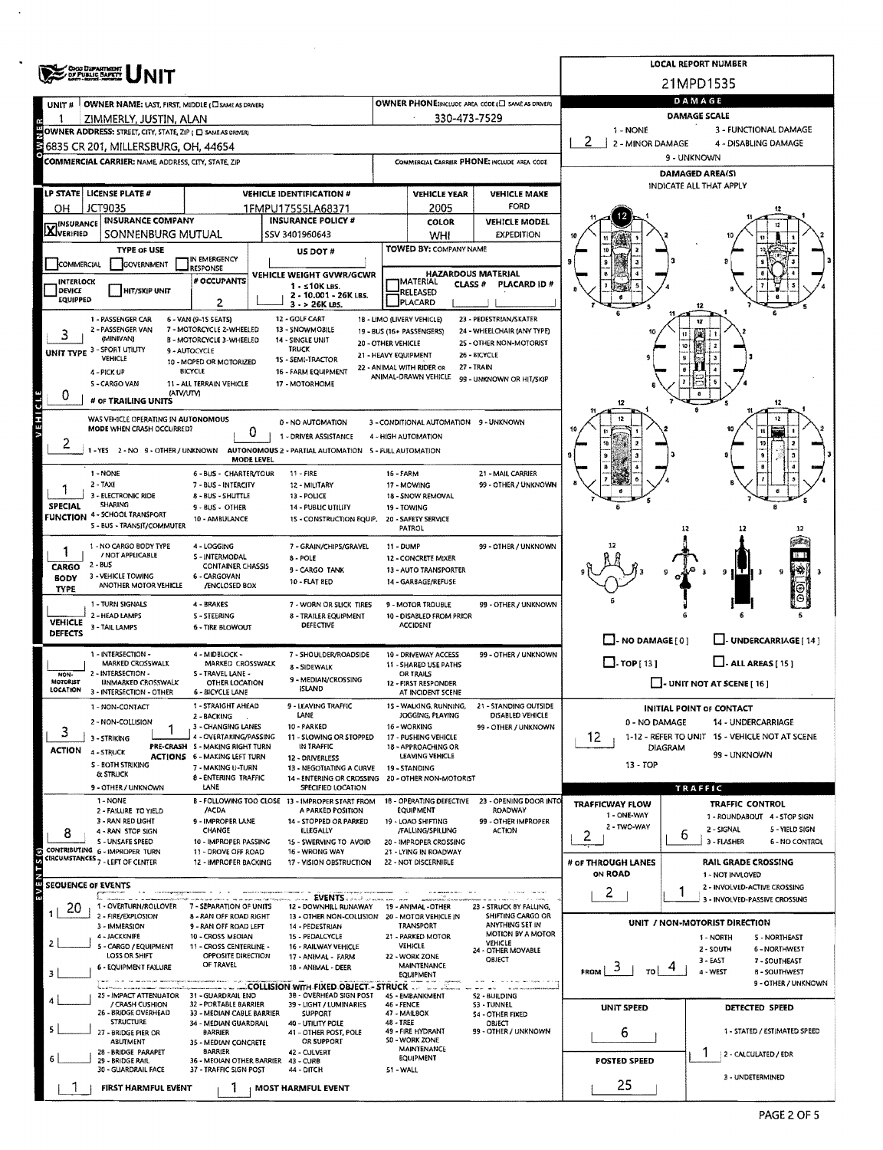|                            | ORG DEPARTMENT                                                                                      |                                                           |                                                                                  |                                            |                                                                |                                                    |                                                          | <b>LOCAL REPORT NUMBER</b>                                       |  |  |  |  |  |
|----------------------------|-----------------------------------------------------------------------------------------------------|-----------------------------------------------------------|----------------------------------------------------------------------------------|--------------------------------------------|----------------------------------------------------------------|----------------------------------------------------|----------------------------------------------------------|------------------------------------------------------------------|--|--|--|--|--|
|                            |                                                                                                     |                                                           |                                                                                  |                                            |                                                                |                                                    |                                                          | 21MPD1535                                                        |  |  |  |  |  |
| UNIT #                     | OWNER NAME: LAST, FIRST, MIDDLE (C) SAME AS DRIVER!                                                 |                                                           |                                                                                  |                                            |                                                                | OWNER PHONE: INCLUDE AREA CODE (E) SAME AS DRIVER! |                                                          | DAMAGE                                                           |  |  |  |  |  |
|                            | ZIMMERLY, JUSTIN, ALAN                                                                              |                                                           |                                                                                  |                                            | 330-473-7529                                                   |                                                    | <b>DAMAGE SCALE</b><br>1 - NONE<br>3 - FUNCTIONAL DAMAGE |                                                                  |  |  |  |  |  |
|                            | OWNER ADDRESS: STREET, CITY, STATE, ZIP ( C) SAME AS DRIVERY<br>6835 CR 201, MILLERSBURG, OH, 44654 |                                                           |                                                                                  |                                            |                                                                |                                                    | -2<br>2 - MINOR DAMAGE                                   | 4 - DISABLING DAMAGE                                             |  |  |  |  |  |
|                            | COMMERCIAL CARRIER: NAME, ADDRESS, CITY, STATE, ZIP                                                 |                                                           |                                                                                  |                                            |                                                                | COMMERCIAL CARRIER PHONE: INCLUDE AREA CODE        | 9 - UNKNOWN                                              |                                                                  |  |  |  |  |  |
|                            |                                                                                                     |                                                           |                                                                                  |                                            |                                                                |                                                    | <b>DAMAGED AREA(S)</b>                                   |                                                                  |  |  |  |  |  |
|                            | LP STATE   LICENSE PLATE #                                                                          |                                                           | <b>VEHICLE IDENTIFICATION #</b>                                                  |                                            | <b>VEHICLE YEAR</b>                                            | <b>VEHICLE MAKE</b>                                | INDICATE ALL THAT APPLY                                  |                                                                  |  |  |  |  |  |
| ΟН                         | <b>JCT9035</b>                                                                                      |                                                           | 1FMPU17555LA68371                                                                |                                            | 2005                                                           | <b>FORD</b>                                        |                                                          |                                                                  |  |  |  |  |  |
| <b>X</b> INSURANCE         | <b>INSURANCE COMPANY</b><br>SONNENBURG MUTUAL                                                       |                                                           | <b>INSURANCE POLICY #</b><br>SSV 3401960643                                      |                                            | COLOR                                                          | <b>VEHICLE MODEL</b><br><b>EXPEDITION</b>          |                                                          |                                                                  |  |  |  |  |  |
|                            | <b>TYPE OF USE</b>                                                                                  |                                                           | US DOT #                                                                         |                                            | WHI<br>TOWED BY: COMPANY NAME                                  |                                                    |                                                          |                                                                  |  |  |  |  |  |
| COMMERCIAL                 | GOVERNMENT                                                                                          | IN EMERGENCY<br><b>RESPONSE</b>                           |                                                                                  |                                            |                                                                |                                                    |                                                          |                                                                  |  |  |  |  |  |
| INTERLOCK                  |                                                                                                     | # OCCUPANTS                                               | VEHICLE WEIGHT GVWR/GCWR<br>$1 - 510K$ LBS.                                      |                                            | <b>HAZARDOUS MATERIAL</b><br><b>MATERIAL</b><br><b>CLASS #</b> | PLACARD ID#                                        |                                                          |                                                                  |  |  |  |  |  |
| DEVICE<br><b>EQUIPPED</b>  | <b>HIT/SKIP UNIT</b>                                                                                | $\overline{2}$                                            | 2 - 10.001 - 26K LBS.<br>3 - > 26K LBS.                                          |                                            | RELEASED<br>PLACARD                                            |                                                    |                                                          |                                                                  |  |  |  |  |  |
|                            | 1 - PASSENGER CAR                                                                                   | 6 - VAN (9-15 SEATS)                                      | 12 - GOLF CART                                                                   | 1B - LIMO (LIVERY VEHICLE)                 |                                                                | 23 - PEDESTRIAN/SKATER                             |                                                          |                                                                  |  |  |  |  |  |
| 3                          | 2 - PASSENGER VAN<br>(MINIVAN)                                                                      | 7 - MOTORCYCLE 2-WHEELED<br>B - MOTORCYCLE 3-WHEELED      | 13 - SNOWMOBILE<br>14 - SINGLE UNIT                                              | 19 - BUS (16+ PASSENGERS)                  |                                                                | 24 - WHEELCHAIR (ANY TYPE)                         |                                                          |                                                                  |  |  |  |  |  |
|                            | UNIT TYPE 3 - SPORT UTILITY<br><b>VEHICLE</b>                                                       | 9 - AUTOCYCLE                                             | <b>TRUCK</b><br>15 - SEMI-TRACTOR                                                | 20 - OTHER VEHICLE<br>21 - HEAVY EQUIPMENT |                                                                | 25 - OTHER NON-MOTORIST<br>26 - BICYCLE            |                                                          |                                                                  |  |  |  |  |  |
|                            | 4 - PICK UP                                                                                         | 10 - MOPED OR MOTORIZED<br>BICYCLE                        | 16 - FARM EQUIPMENT                                                              | 22 - ANIMAL WITH RIDER OR                  | ANIMAL-DRAWN VEHICLE                                           | 27 - TRAIN                                         |                                                          |                                                                  |  |  |  |  |  |
| 0                          | S - CARGO VAN<br>(ATV/UTV)                                                                          | 11 - ALL TERRAIN VEHICLE                                  | 17 - MOTORHOME                                                                   |                                            |                                                                | 99 - UNKNOWN OR HIT/SKIP                           |                                                          |                                                                  |  |  |  |  |  |
|                            | # OF TRAILING UNITS                                                                                 |                                                           |                                                                                  |                                            |                                                                |                                                    | 12                                                       | 12                                                               |  |  |  |  |  |
|                            | WAS VEHICLE OPERATING IN AUTONOMOUS<br>MODE WHEN CRASH OCCURRED?                                    |                                                           | 0 - NO AUTOMATION                                                                |                                            | 3 - CONDITIONAL AUTOMATION 9 - UNKNOWN                         |                                                    |                                                          | 12                                                               |  |  |  |  |  |
| 2                          |                                                                                                     |                                                           | 0<br>1 - DRIVER ASSISTANCE                                                       | 4 - HIGH AUTOMATION                        |                                                                |                                                    |                                                          | 10                                                               |  |  |  |  |  |
|                            | 1-YES 2-NO 9-OTHER/UNKNOWN                                                                          |                                                           | AUTONOMOUS 2 - PARTIAL AUTOMATION 5 - FULL AUTOMATION<br><b>MODE LEVEL</b>       |                                            |                                                                |                                                    | 9                                                        | 9                                                                |  |  |  |  |  |
|                            | 1 - NONE                                                                                            | 6 - BUS - CHARTER/TOUR                                    | $11 - FIRE$                                                                      | 16 - FARM                                  |                                                                | 21 - MAIL CARRIER                                  |                                                          |                                                                  |  |  |  |  |  |
|                            | $2 - TAXI$<br>3 - ELECTRONIC RIDE                                                                   | 7 - BUS - INTERCITY<br>8 - BUS - SHUTTLE                  | 12 - MILITARY<br>13 - POLICE                                                     |                                            | 17 - MOWING<br>18 - SNOW REMOVAL                               | 99 - OTHER / UNKNOWN                               |                                                          |                                                                  |  |  |  |  |  |
| <b>SPECIAL</b>             | <b>SHARING</b><br><b>FUNCTION 4 - SCHOOL TRANSPORT</b>                                              | $9 - BUS - OTHER$<br>10 - AMBULANCE                       | <b>14 - PUBLIC UTILITY</b>                                                       |                                            | 19 - TOWING                                                    |                                                    |                                                          | a                                                                |  |  |  |  |  |
|                            | S - BUS - TRANSIT/COMMUTER                                                                          |                                                           | 15 - CONSTRUCTION EQUIP.                                                         |                                            | 20 - SAFETY SERVICE<br>PATROL                                  |                                                    |                                                          | 12                                                               |  |  |  |  |  |
| 1                          | 1 - NO CARGO BODY TYPE                                                                              | 4 - LOGGING                                               | 7 - GRAIN/CHIPS/GRAVEL                                                           | 11 - DUMP                                  |                                                                | 99 - OTHER / UNKNOWN                               |                                                          |                                                                  |  |  |  |  |  |
| CARGO                      | / NOT APPLICABLE<br>$2 - BUS$                                                                       | S - INTERMODAL<br><b>CONTAINER CHASSIS</b>                | 8 - POLE<br>9 - CARGO TANK                                                       |                                            | 12 - CONCRETE MIXER<br>13 - AUTO TRANSPORTER                   |                                                    |                                                          | - H T<br>9<br>9                                                  |  |  |  |  |  |
| <b>BODY</b><br><b>TYPE</b> | 3 - VEHICLE TOWING<br>ANOTHER MOTOR VEHICLE                                                         | 6 - CARGOVAN<br>/ENCLOSED BOX                             | 10 - FLAT BED                                                                    |                                            | 14 - GARBAGE/REFUSE                                            |                                                    |                                                          | Θ                                                                |  |  |  |  |  |
|                            | 1 - TURN SIGNALS                                                                                    | 4 - BRAKES                                                | 7 - WORN OR SLICK TIRES                                                          |                                            | 9 - MOTOR TROUBLE                                              | 99 - OTHER / UNKNOWN                               |                                                          |                                                                  |  |  |  |  |  |
| <b>VEHICLE</b>             | 2 - HEAD LAMPS<br>3 - TAIL LAMPS                                                                    | <b>S-STEERING</b>                                         | 8 - TRAILER EQUIPMENT<br><b>DEFECTIVE</b>                                        |                                            | 10 - DISABLED FROM PRIOR<br><b>ACCIDENT</b>                    |                                                    |                                                          |                                                                  |  |  |  |  |  |
| <b>DEFECTS</b>             |                                                                                                     | <b>6 - TIRE BLOWOUT</b>                                   |                                                                                  |                                            |                                                                |                                                    | $\Box$ - NO DAMAGE [ 0 ]                                 | UNDERCARRIAGE [14]                                               |  |  |  |  |  |
|                            | 1 - INTERSECTION -                                                                                  | 4 - MIDBLOCK -                                            | 7 - SHOULDER/ROADSIDE                                                            |                                            | 10 - DRIVEWAY ACCESS                                           | 99 - OTHER / UNKNOWN                               | $\Box$ - TOP[13]                                         | $\Box$ - ALL AREAS [ 15 ]                                        |  |  |  |  |  |
| NON-                       | MARKED CROSSWALK<br>2 - INTERSECTION -                                                              | MARKED CROSSWALK<br>S - TRAVEL LANE -                     | 8 - SIDEWALK<br>9 - MEDIAN/CROSSING                                              |                                            | 11 - SHARED USE PATHS<br><b>OR TRAILS</b>                      |                                                    |                                                          |                                                                  |  |  |  |  |  |
| MOTORIST<br>LOCATION       | <b>UNMARKED CROSSWALK</b><br>3 - INTERSECTION - OTHER                                               | OTHER LOCATION<br><b>6 - BICYCLE LANE</b>                 | <b>ISLAND</b>                                                                    |                                            | 12 - FIRST RESPONDER<br>AT INCIDENT SCENE                      |                                                    |                                                          | - UNIT NOT AT SCENE [ 16 ]                                       |  |  |  |  |  |
|                            | 1 - NON-CONTACT                                                                                     | 1 - STRAIGHT AHEAD                                        | 9 - LEAVING TRAFFIC<br>LANE                                                      |                                            | 15 - WALKING, RUNNING,<br>JOGGING, PLAYING                     | <b>21 - STANDING OUTSIDE</b><br>DISABLED VEHICLE   |                                                          | <b>INITIAL POINT OF CONTACT</b>                                  |  |  |  |  |  |
| 3                          | 2 - NON-COLLISION                                                                                   | 2 - BACKING<br>3 - CHANGING LANES                         | 10 - PARKED                                                                      |                                            | 16 - WORKING                                                   | 99 - OTHER / UNKNOWN                               | 0 - NO DAMAGE                                            | 14 - UNDERCARRIAGE                                               |  |  |  |  |  |
|                            | 3 - STRIKING<br>ACTION 4 - STRUCK                                                                   | 4 - OVERTAKING/PASSING<br>PRE-CRASH S - MAKING RIGHT TURN | 11 - SLOWING OR STOPPED<br>IN TRAFFIC                                            |                                            | 17 - PUSHING VEHICLE<br>18 - APPROACHING OR                    |                                                    | 12.                                                      | 1-12 - REFER TO UNIT 15 - VEHICLE NOT AT SCENE<br><b>DIAGRAM</b> |  |  |  |  |  |
|                            | S - BOTH STRIKING                                                                                   | <b>ACTIONS 6 - MAKING LEFT TURN</b><br>7 - MAKING U-TURN  | 12 - DRIVERLESS<br>13 - NEGOTIATING A CURVE                                      |                                            | LEAVING VEHICLE<br>19 - STANDING                               |                                                    | 13 - TOP                                                 | 99 UNKNOWN                                                       |  |  |  |  |  |
|                            | & STRUCK                                                                                            | 8 - ENTERING TRAFFIC<br>LANE                              | 14 - ENTERING OR CROSSING                                                        |                                            | 20 - OTHER NON-MOTORIST                                        |                                                    |                                                          |                                                                  |  |  |  |  |  |
|                            | 9 - OTHER / UNKNOWN<br>1 - NONE                                                                     |                                                           | SPECIFIED LOCATION<br>B - FOLLOWING TOO CLOSE 13 - IMPROPER START FROM           |                                            |                                                                | 18 - OPERATING DEFECTIVE 23 - OPENING DOOR INTO    | <b>TRAFFICWAY FLOW</b>                                   | TRAFFIC<br><b>TRAFFIC CONTROL</b>                                |  |  |  |  |  |
|                            | 2 - FAILURE TO YIELD<br>3 - RAN RED LIGHT                                                           | /ACDA<br>9 - IMPROPER LANE                                | A PARKED POSITION<br>14 - STOPPED OR PARKED                                      |                                            | <b>EQUIPMENT</b><br>19 - LOAO SHIFTING                         | <b>ROADWAY</b><br>99 - OTHER IMPROPER              | 1 - ONE-WAY                                              | 1 - ROUNDABOUT 4 - STOP SIGN                                     |  |  |  |  |  |
| 8                          | 4 - RAN STOP SIGN                                                                                   | CHANGE                                                    | ILLEGALLY                                                                        |                                            | /FALLING/SPILLING                                              | <b>ACTION</b>                                      | 2 - TWO-WAY<br>2                                         | 2 - SIGNAL<br>5 - YIELD SIGN<br>6                                |  |  |  |  |  |
|                            | S - UNSAFE SPEED<br>CONTRIBUTING 6 - IMPROPER TURN                                                  | 10 - IMPROPER PASSING<br>11 - DROVE OFF ROAD              | 15 - SWERVING TO AVOID<br>16 - WRONG WAY                                         |                                            | 20 - IMPROPER CROSSING<br>21 - LYING IN ROADWAY                |                                                    |                                                          | 3 - FLASHER<br><b>6 - NO CONTROL</b>                             |  |  |  |  |  |
|                            | CIRCUMSTANCES <sub>7</sub> - LEFT OF CENTER                                                         | 12 - IMPROPER BACKING                                     | 17 - VISION OBSTRUCTION                                                          |                                            | 22 - NOT DISCERNIBLE                                           |                                                    | # of THROUGH LANES<br>ON ROAD                            | <b>RAIL GRADE CROSSING</b><br>1 - NOT INVLOVED                   |  |  |  |  |  |
|                            | <b>SEQUENCE OF EVENTS</b>                                                                           |                                                           |                                                                                  |                                            |                                                                |                                                    | $\overline{2}$                                           | 2 - INVOLVED-ACTIVE CROSSING<br>1                                |  |  |  |  |  |
| 20                         | 1 - OVERTURN/ROLLOVER                                                                               | 7 - SEPARATION OF UNITS                                   | 12 - DOWNHILL RUNAWAY 19 - ANIMAL - OTHER                                        |                                            |                                                                | 23 - STRUCK 8Y FALLING,                            |                                                          | 3 - INVOLVED-PASSIVE CROSSING                                    |  |  |  |  |  |
| 1.                         | 2 - FIRE/EXPLOSION<br>3 - IMMERSION                                                                 | 8 - RAN OFF ROAD RIGHT<br>9 - RAN OFF ROAD LEFT           | 13 - OTHER NON-COLLISION 20 - MOTOR VEHICLE IN<br>14 - PEDESTRIAN                |                                            | TRANSPORT                                                      | SHIFTING CARGO OR<br>ANYTHING SET IN               |                                                          | UNIT / NON-MOTORIST DIRECTION                                    |  |  |  |  |  |
| $\mathbf{z}$               | 4 - JACKKNIFE<br>5 - CARGO / EQUIPMENT                                                              | 10 - CROSS MEOIAN<br>11 - CROSS CENTERLINE -              | 15 - PEDALCYCLE<br>16 - RAILWAY VEHICLE                                          |                                            | 21 - PARKED MOTOR<br>VEHICLE                                   | MOTION BY A MOTOR<br>VEHICLE                       |                                                          | 1 - NORTH<br>5 - NORTHEAST                                       |  |  |  |  |  |
|                            | LOSS OR SHIFT                                                                                       | OPPOSITE DIRECTION<br>OF TRAVEL                           | 17 - ANIMAL - FARM                                                               |                                            | 22 - WORK ZONE<br><b>MAINTENANCE</b>                           | 24 - OTHER MOVABLE<br>OBJECT                       |                                                          | 2 - SOUTH<br>6 - NORTHWEST<br>$3 - EAST$<br>7 - SOUTHEAST        |  |  |  |  |  |
| 3                          | 6 - EQUIPMENT FAILURE                                                                               |                                                           | 18 - ANIMAL - DEER                                                               |                                            | EQUIPMENT                                                      |                                                    | 3<br>FROM<br>TO                                          | 4 - WEST<br><b>B-SOUTHWEST</b><br>9 - OTHER / UNKNOWN            |  |  |  |  |  |
| 4                          | 25 - IMPACT ATTENUATOR 31 - GUARDRAIL END                                                           |                                                           | <b>EXAMPLE COLLISION WITH FIXED OBJECT - STRUCK  </b><br>38 - OVERHEAD SIGN POST |                                            | 45 - EMBANKMENT                                                | S2 - BUILDING                                      |                                                          |                                                                  |  |  |  |  |  |
|                            | / CRASH CUSHION<br>26 - BRIDGE OVERHEAD                                                             | 32 - PORTABLE BARRIER<br>33 - MEDIAN CABLE BARRIER        | 39 - LIGHT / LUMINARIES<br><b>SUPPORT</b>                                        | 46 - FENCE                                 | 47 - MAIL8OX                                                   | 53 - TUNNEL<br><b>54 - OTHER FIXED</b>             | UNIT SPEED                                               | DETECTED SPEED                                                   |  |  |  |  |  |
| 5                          | <b>STRUCTURE</b><br>27 - BRIDGE PIER OR                                                             | 34 - MEDIAN GUARDRAIL<br><b>BARRIER</b>                   | 40 - UTILITY POLE<br>41 - OTHER POST, POLE                                       | <b>48 - TREE</b>                           | 49 - FIRE HYDRANT                                              | OBJECT<br>99 - OTHER / UNKNOWN                     | 6                                                        | 1 - STATED / ESTIMATED SPEED                                     |  |  |  |  |  |
|                            | <b>ABUTMENT</b><br>28 - BRIDGE PARAPET                                                              | 35 - MEDIAN CONCRETE<br><b>BARRIER</b>                    | OR SUPPORT<br>42 - CULVERT                                                       |                                            | SO - WORK ZONE<br><b>MAINTENANCE</b>                           |                                                    |                                                          |                                                                  |  |  |  |  |  |
| 6                          | 29 - BRIDGE RAIL<br>30 - GUARDRAIL FACE                                                             | 37 - TRAFFIC SIGN POST                                    | 36 - MEOIAN OTHER BARRIER 43 - CURB<br>44 - DITCH                                | 51 - WALL                                  | EQUIPMENT                                                      |                                                    | POSTED SPEED                                             | 2 - CALCULATED / EDR                                             |  |  |  |  |  |
|                            |                                                                                                     | 1                                                         |                                                                                  |                                            |                                                                |                                                    | 25                                                       | 3 - UNDETERMINED                                                 |  |  |  |  |  |
|                            | FIRST HARMFUL EVENT                                                                                 |                                                           | MOST HARMFUL EVENT                                                               |                                            |                                                                |                                                    |                                                          |                                                                  |  |  |  |  |  |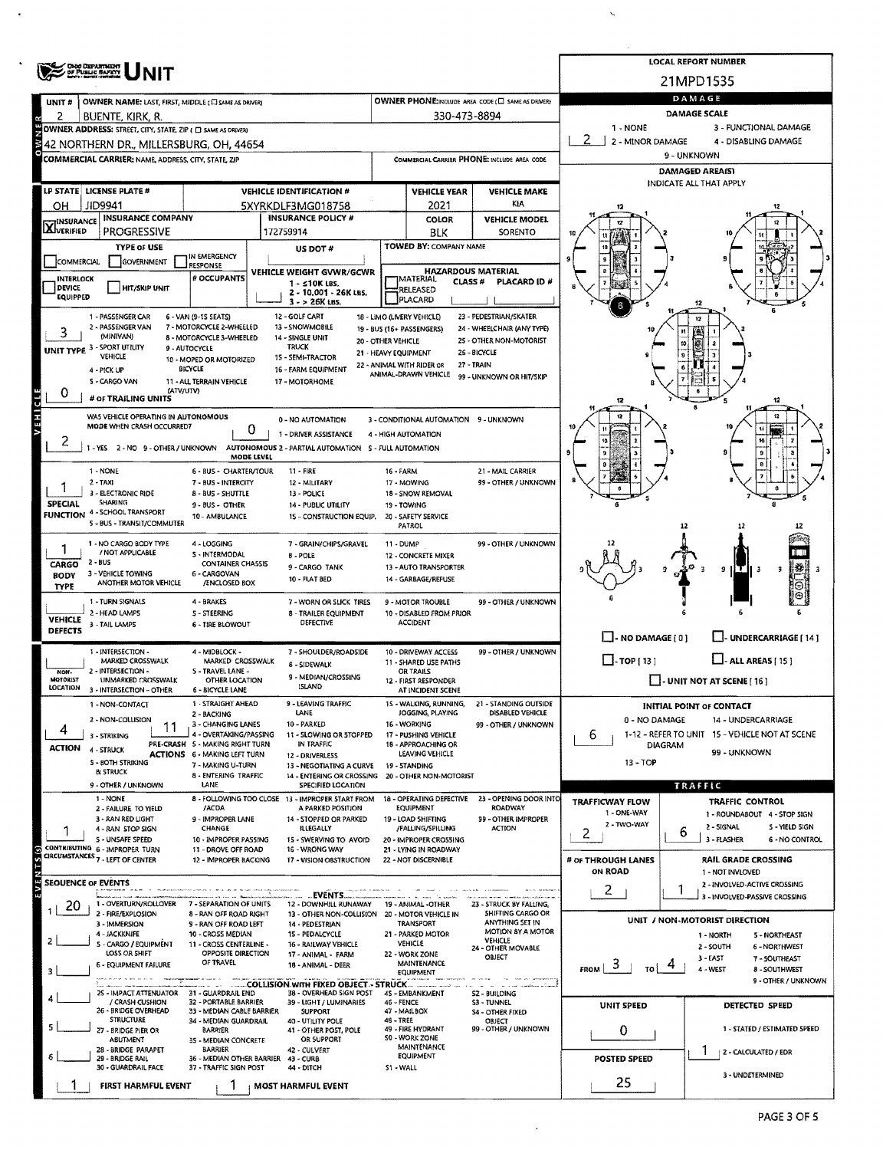| <b>ONO DEPARTMENT</b><br>OF PUBLIC SAFETY |                                                                                                         |                                                               |                                                                                |                      |                                                         |                                                      |                                                   | <b>LOCAL REPORT NUMBER</b>                                           |  |  |  |  |  |
|-------------------------------------------|---------------------------------------------------------------------------------------------------------|---------------------------------------------------------------|--------------------------------------------------------------------------------|----------------------|---------------------------------------------------------|------------------------------------------------------|---------------------------------------------------|----------------------------------------------------------------------|--|--|--|--|--|
|                                           |                                                                                                         |                                                               |                                                                                | 21MPD1535            |                                                         |                                                      |                                                   |                                                                      |  |  |  |  |  |
| UNIT#                                     | OWNER NAME: LAST, FIRST, MIDDLE (C) SAME AS DRIVER)                                                     |                                                               |                                                                                |                      |                                                         | OWNER PHONE:INCLUDE AREA CODE (E) SAME AS DRIVERY    | DAMAGE                                            |                                                                      |  |  |  |  |  |
|                                           | buente, Kirk, R.                                                                                        |                                                               |                                                                                |                      | 330-473-8894                                            |                                                      | DAMAGE SCALE<br>1 - NONE<br>3 - FUNCTIONAL DAMAGE |                                                                      |  |  |  |  |  |
| 빻                                         | OWNER ADDRESS: STREET, CITY, STATE, ZIP ( C) SAME AS DRIVERY<br>42 NORTHERN DR., MILLERSBURG, OH, 44654 |                                                               |                                                                                |                      |                                                         |                                                      | 2<br>2 - MINOR DAMAGE                             | 4 - DISABLING DAMAGE                                                 |  |  |  |  |  |
| $\frac{8}{9}$                             | COMMERCIAL CARRIER: NAME, ADDRESS, CITY, STATE, ZIP                                                     |                                                               |                                                                                |                      |                                                         | COMMERCIAL CARRIER PHONE: INCLUDE AREA CODE          | 9 - UNKNOWN                                       |                                                                      |  |  |  |  |  |
|                                           |                                                                                                         |                                                               |                                                                                |                      |                                                         |                                                      | <b>DAMAGED AREA(S)</b>                            |                                                                      |  |  |  |  |  |
|                                           | LP STATE LICENSE PLATE #                                                                                |                                                               | <b>VEHICLE IDENTIFICATION #</b>                                                |                      | <b>VEHICLE YEAR</b>                                     | <b>VEHICLE MAKE</b>                                  |                                                   | INDICATE ALL THAT APPLY                                              |  |  |  |  |  |
| он                                        | JID9941                                                                                                 |                                                               | 5XYRKDLF3MG018758                                                              |                      | 2021                                                    | KIA                                                  |                                                   |                                                                      |  |  |  |  |  |
| <b>X</b> I <sup>INSURANCE</sup>           | <b>INSURANCE COMPANY</b>                                                                                |                                                               | <b>INSURANCE POLICY #</b>                                                      |                      | COLOR                                                   | <b>VEHICLE MODEL</b>                                 |                                                   |                                                                      |  |  |  |  |  |
|                                           | <b>PROGRESSIVE</b>                                                                                      |                                                               | 172759914                                                                      |                      | <b>BLK</b><br>TOWED BY: COMPANY NAME                    | SORENTO                                              |                                                   |                                                                      |  |  |  |  |  |
| COMMERCIAL                                | <b>TYPE of USE</b><br>GOVERNMENT                                                                        | IN EMERGENCY                                                  | US DOT #                                                                       |                      |                                                         |                                                      |                                                   |                                                                      |  |  |  |  |  |
| <b>INTERLOCK</b>                          |                                                                                                         | RESPONSE<br># OCCUPANTS                                       | VEHICLE WEIGHT GVWR/GCWR                                                       |                      | <b>HAZARDOUS MATERIAL</b><br><b>MATERIAL</b>            |                                                      |                                                   |                                                                      |  |  |  |  |  |
| <b>DEVICE</b><br><b>EQUIPPED</b>          | <b>HIT/SKIP UNIT</b>                                                                                    |                                                               | $1 - 10K$ LBS.<br>2 - 10.001 - 26K LBS.                                        |                      | <b>CLASS#</b><br>RELEASED                               | PLACARD ID #                                         |                                                   |                                                                      |  |  |  |  |  |
|                                           |                                                                                                         |                                                               | $3 - 26K$ LBS.                                                                 |                      | <b>PLACARD</b>                                          |                                                      |                                                   |                                                                      |  |  |  |  |  |
|                                           | 1 - PASSENGER CAR<br>2 - PASSENGER VAN                                                                  | 6 - VAN (9-15 SEATS)<br>7 - MOTORCYCLE 2-WHEELED              | 12 - GOLF CART<br>13 - SNOWMOBILE                                              |                      | 18 - LIMO (LIVERY VEHICLE)<br>19 - BUS (16+ PASSENGERS) | 23 - PEDESTRIAN/SKATER<br>24 - WHEELCHAIR (ANY TYPE) |                                                   | 12                                                                   |  |  |  |  |  |
| 3                                         | (MINIVAN)                                                                                               | 8 - MOTORCYCLE 3-WHEELED                                      | 14 - SINGLE UNIT<br><b>TRUCK</b>                                               | 20 - OTHER VEHICLE   |                                                         | 25 - OTHER NON-MOTORIST                              |                                                   | (A)<br>Ø<br>10                                                       |  |  |  |  |  |
| <b>UNIT TYPE 3 - SPORT UTILITY</b>        | <b>VEHICLE</b>                                                                                          | 9 - AUTOCYCLE<br>10 - MOPED OR MOTORIZED                      | 1S - SEMI-TRACTOR                                                              | 21 - HEAVY EQUIPMENT | 22 - ANIMAL WITH RIDER OR                               | 26 - BICYCLE<br>27 - TRAIN                           |                                                   |                                                                      |  |  |  |  |  |
|                                           | 4 - PICK UP<br>5 - CARGO VAN                                                                            | <b>BICYCLE</b><br><b>11 - ALL TERRAIN VEHICLE</b>             | 16 - FARM EQUIPMENT<br>17 - MOTORHOME                                          |                      | ANIMAL-DRAWN VEHICLE                                    | 99 - UNKNOWN OR HIT/SKIP                             |                                                   |                                                                      |  |  |  |  |  |
| 0                                         | (ATV/UTV)<br># of TRAILING UNITS                                                                        |                                                               |                                                                                |                      |                                                         |                                                      |                                                   |                                                                      |  |  |  |  |  |
|                                           |                                                                                                         |                                                               |                                                                                |                      |                                                         |                                                      | 12                                                | 12                                                                   |  |  |  |  |  |
| VEHICLE                                   | WAS VEHICLE OPERATING IN AUTONOMOUS<br>MODE WHEN CRASH OCCURRED?                                        | 0                                                             | 0 - NO AUTOMATION                                                              |                      | 3 - CONDITIONAL AUTOMATION 9 - UNKNOWN                  |                                                      |                                                   |                                                                      |  |  |  |  |  |
| z                                         | 1 - YES 2 - NO 9 - OTHER / UNKNOWN                                                                      |                                                               | 1 - DRIVER ASSISTANCE<br>AUTONOMOUS 2 - PARTIAL AUTOMATION 5 - FULL AUTOMATION |                      | 4 - HIGH AUTOMATION                                     |                                                      |                                                   |                                                                      |  |  |  |  |  |
|                                           |                                                                                                         | <b>MODE LEVEL</b>                                             |                                                                                |                      |                                                         |                                                      | Ð                                                 |                                                                      |  |  |  |  |  |
|                                           | 1 - NONE<br>$2 - TAXI$                                                                                  | 6 - BUS - CHARTER/TOUR<br>7 - BUS - INTERCITY                 | 11 - FIRE                                                                      | 16 - FARM            | 17 - MOWING                                             | 21 - MAIL CARRIER<br>99 - OTHER / UNKNOWN            |                                                   |                                                                      |  |  |  |  |  |
|                                           | 3 - ELECTRONIC RIDE                                                                                     | 8 - BUS - SHUTTLE                                             | 12 - MILITARY<br>13 - POLICE                                                   |                      | 18 - SNOW REMOVAL                                       |                                                      |                                                   |                                                                      |  |  |  |  |  |
| <b>SPECIAL</b>                            | SHARING<br><b>FUNCTION 4 - SCHOOL TRANSPORT</b>                                                         | 9 - BUS - OTHER                                               | 14 - PUBLIC UTILITY                                                            |                      | 19 - TOWING                                             |                                                      |                                                   |                                                                      |  |  |  |  |  |
|                                           | 5 - BUS - TRANSIT/COMMUTER                                                                              | 10 - AMBULANCE                                                | 15 - CONSTRUCTION EQUIP.                                                       |                      | 20 - SAFETY SERVICE<br>PATROL                           |                                                      |                                                   |                                                                      |  |  |  |  |  |
|                                           | 1 - NO CARGO BODY TYPE                                                                                  | 4 - LOGGING                                                   | 7 - GRAIN/CHIPS/GRAVEL                                                         | 11 - DUMP            |                                                         | 99 - OTHER / UNKNOWN                                 |                                                   |                                                                      |  |  |  |  |  |
| CARGO                                     | / NOT APPLICABLE<br>2 - BUS                                                                             | S - INTERMODAL<br><b>CONTAINER CHASSIS</b>                    | <b>B-POLE</b>                                                                  |                      | 12 - CONCRETE MIXER                                     |                                                      |                                                   |                                                                      |  |  |  |  |  |
| <b>BODY</b>                               | 3 - VEHICLE TOWING                                                                                      | 6 - CARGOVAN                                                  | 9 - CARGO TANK<br>10 FLAT BED                                                  |                      | 13 - AUTO TRANSPORTER<br>14 - GARBAGE/REFUSE            |                                                      |                                                   | 11 T<br>9<br>9                                                       |  |  |  |  |  |
| <b>TYPE</b>                               | ANOTHER MOTOR VEHICLE                                                                                   | /ENCLOSED BOX                                                 |                                                                                |                      |                                                         |                                                      |                                                   | Θ<br>Θ                                                               |  |  |  |  |  |
|                                           | 1 - TURN SIGNALS<br>2 - HEAD LAMPS                                                                      | 4 - BRAKES<br><b>S-STEERING</b>                               | 7 - WORN OR SLICK TIRES<br>8 - TRAILER EQUIPMENT                               |                      | 9 - MOTOR TROUBLE<br>10 - DISABLED FROM PRIOR           | 99 - OTHER / UNKNOWN                                 |                                                   |                                                                      |  |  |  |  |  |
| <b>VEHICLE</b><br><b>DEFECTS</b>          | 3 - TAIL LAMPS                                                                                          | 6 - TIRE BLOWOUT                                              | DEFECTIVE                                                                      |                      | <b>ACCIDENT</b>                                         |                                                      |                                                   |                                                                      |  |  |  |  |  |
|                                           |                                                                                                         |                                                               |                                                                                |                      |                                                         |                                                      | $\blacksquare$ - NO DAMAGE $\lceil 0 \rceil$      | UNDERCARRIAGE [ 14 ]                                                 |  |  |  |  |  |
|                                           | 1 - INTERSECTION -<br>MARKED CROSSWALK                                                                  | 4 - MIDBLOCK -<br>MARKED CROSSWALK                            | 7 - SHOULDER/ROADSIDE<br><b>6 - SIDEWALK</b>                                   |                      | 10 - DRIVEWAY ACCESS<br>11 - SHARED USE PATHS           | 99 - OTHER / UNKNOWN                                 | $\square$ - TOP [ 13 ]                            | $\Box$ - ALL AREAS [ 15 ]                                            |  |  |  |  |  |
| NON-<br>MOTORIST                          | 2 - INTERSECTION -<br>UNMARKED CROSSWALK                                                                | S - TRAVEL LANE -<br>OTHER LOCATION                           | 9 - MEDIAN/CROSSING                                                            |                      | <b>OR TRAILS</b><br>12 - FIRST RESPONDER                |                                                      |                                                   | LI- UNIT NOT AT SCENE [ 16 ]                                         |  |  |  |  |  |
| LOCATION                                  | 3 - INTERSECTION - OTHER                                                                                | 6 - BICYCLE LANE                                              | <b>ISLAND</b>                                                                  |                      | AT INCIDENT SCENE                                       |                                                      |                                                   |                                                                      |  |  |  |  |  |
|                                           | 1 - NON-CONTACT                                                                                         | 1 - STRAIGHT AHEAD<br>2 - BACKING                             | 9 - LEAVING TRAFFIC<br>LANE                                                    |                      | 15 - WALKING, RUNNING,<br>JOGGING, PLAYING              | 21 - STANDING OUTSIDE<br>DISABLED VEHICLE            |                                                   | <b>INITIAL POINT OF CONTACT</b>                                      |  |  |  |  |  |
| 4                                         | 2 - NON-COLLISION<br>11                                                                                 | 3 - CHANGING LANES<br>4 - OVERTAKING/PASSING                  | 10 - PARKED                                                                    |                      | 16 - WORKING                                            | 99 - OTHER / UNKNOWN                                 | 0 - NO DAMAGE                                     | 14 - UNDERCARRIAGE<br>1-12 - REFER TO UNIT 15 - VEHICLE NOT AT SCENE |  |  |  |  |  |
| <b>ACTION</b>                             | 3 - STRIKING<br>4 - STRUCK                                                                              | PRE-CRASH S - MAKING RIGHT TURN                               | 11 - SLOWING OR STOPPED<br>IN TRAFFIC                                          |                      | 17 - PUSHING VEHICLE<br>18 - APPROACHING OR             |                                                      | 6                                                 | <b>DIAGRAM</b>                                                       |  |  |  |  |  |
|                                           | <b>S - BOTH STRIKING</b>                                                                                | ACTIONS 6 - MAKING LEFT TURN<br>7 - MAKING U-TURN             | 12 - DRIVERLESS<br>13 - NEGOTIATING A CURVE                                    |                      | LEAVING VEHICLE<br>19 - STANDING                        |                                                      | 13 - TOP                                          | 99 - UNKNOWN                                                         |  |  |  |  |  |
|                                           | <b>&amp; STRUCK</b>                                                                                     | 8 - ENTERING TRAFFIC                                          | 14 - ENTERING OR CROSSING 20 - OTHER NON-MOTORIST                              |                      |                                                         |                                                      |                                                   |                                                                      |  |  |  |  |  |
|                                           | 9 OTHER / UNKNOWN<br>1 - NONE                                                                           | LANE                                                          | SPECIFIED LOCATION<br>8 - FOLLOWING TOO CLOSE 13 - IMPROPER START FROM         |                      |                                                         | 18 - OPERATING DEFECTIVE 23 - OPENING DOOR INTO      | <b>TRAFFICWAY FLOW</b>                            | TRAFFIC<br><b>TRAFFIC CONTROL</b>                                    |  |  |  |  |  |
|                                           | 2 - FAILURE TO YIELD<br>3 - RAN RED LIGHT                                                               | /ACDA<br>9 - IMPROPER LANE                                    | A PARKED POSITION<br>14 - STOPPED OR PARKED                                    |                      | EQUIPMENT<br>19 - LOAD SHIFTING                         | <b>ROADWAY</b><br>99 - OTHER IMPROPER                | 1 - ONE-WAY                                       | 1 - ROUNDABOUT 4 - STOP 5IGN                                         |  |  |  |  |  |
|                                           | 4 - RAN STOP SIGN                                                                                       | CHANGE                                                        | <b>ILLEGALLY</b>                                                               |                      | /FALLING/SPILLING                                       | <b>ACTION</b>                                        | 2 - TWO-WAY<br>2                                  | 2 - SIGNAL<br>S - YIELD SIGN<br>6                                    |  |  |  |  |  |
|                                           | 5 - UNSAFE SPEED<br>CONTRIBUTING 6 - IMPROPER TURN                                                      | 10 - IMPROPER PASSING<br>11 - DROVE OFF ROAD                  | 15 - SWERVING TO AVOID<br>16 - WRONG WAY                                       |                      | 20 - IMPROPER CROSSING<br>21 - LYING IN ROADWAY         |                                                      |                                                   | 3 - FLASHER<br>6 - NO CONTROL                                        |  |  |  |  |  |
|                                           | CIRCUMSTANCES 7 - LEFT OF CENTER                                                                        | 12 - IMPROPER BACKING                                         | 17 - VISION OBSTRUCTION                                                        |                      | 22 - NOT DISCERNIBLE                                    |                                                      | # OF THROUGH LANES                                | RAIL GRADE CROSSING                                                  |  |  |  |  |  |
| <b>SEOUENCE OF EVENTS</b>                 |                                                                                                         |                                                               |                                                                                |                      |                                                         |                                                      | ON ROAD                                           | 1 - NOT INVLOVED<br>2 - INVOLVED-ACTIVE CROSSING                     |  |  |  |  |  |
|                                           |                                                                                                         |                                                               | EVENTS                                                                         |                      |                                                         |                                                      | 2                                                 | 3 - INVOLVED-PASSIVE CROSSING                                        |  |  |  |  |  |
| 20                                        | 1 - OVERTURN/ROLLOVER<br>2 - FIRE/EXPLOSION                                                             | 7 - SEPARATION OF UNITS<br>8 - RAN OFF ROAD RIGHT             | 12 - DOWNHILL RUNAWAY<br>13 - OTHER NON-COLLISION 20 - MOTOR VEHICLE IN        |                      | 19 - ANIMAL -OTHER                                      | 23 - STRUCK BY FALLING,<br>SHIFTING CARGO OR         |                                                   |                                                                      |  |  |  |  |  |
|                                           | 3 - IMMERSION<br>4 - JACKKNIFE                                                                          | 9 - RAN OFF ROAD LEFT<br>10 - CROSS MEDIAN                    | 14 - PEDESTRIAN<br>15 - PEDALCYCLE                                             |                      | TRANSPORT<br>21 - PARKED MOTOR                          | ANYTHING SET IN<br>MOTION 8Y A MOTOR                 |                                                   | UNIT / NON-MOTORIST DIRECTION<br>1 - NORTH<br>5 - NORTHEAST          |  |  |  |  |  |
|                                           | 5 - CARGO / EQUIPMENT                                                                                   | 11 - CROSS CENTERLINE -                                       | 16 - RAILWAY VEHICLE                                                           |                      | VEHICLE                                                 | <b>VEHICLE</b><br>24 - OTHER MOVABLE                 |                                                   | 2 - SOUTH<br>6 - NORTHWEST                                           |  |  |  |  |  |
|                                           | LOSS OR SHIFT<br>6 - EQUIPMENT FAILURE                                                                  | OPPOSITE DIRECTION<br>OF TRAVEL                               | 17 - ANIMAL - FARM<br>18 - ANIMAL - DEER                                       |                      | 22 - WORK ZONE<br>MAINTENANCE                           | OBJECT                                               | 3<br><b>FROM</b><br>TO !                          | $3 - EAST$<br>7 - SOUTHEAST<br>4 - WEST<br>8 - SOUTHWEST             |  |  |  |  |  |
| з                                         |                                                                                                         |                                                               | --- COLLISION WITH FIXED OBJECT - STRUCK-                                      |                      | EQUIPMENT                                               |                                                      |                                                   | 9 - OTHER / UNKNOWN                                                  |  |  |  |  |  |
|                                           | 25 - IMPACT ATTENUATOR 31 - GUARDRAIL END<br>/ CRASH CUSHION                                            | 32 - PORTABLE BARRIER                                         | 38 - OVERHEAD SIGN POST<br>39 - LIGHT / LUMINARIES                             | 46 - FENCE           | 45 - EMBANKMENT                                         | 52 - BUILDING                                        |                                                   |                                                                      |  |  |  |  |  |
|                                           | 26 - BRIDGE OVERHEAD                                                                                    | 33 - MEDIAN CABLE BARRIER                                     | <b>SUPPORT</b>                                                                 |                      | 47 - MAILBOX                                            | S3 - TUNNEL<br><b>S4 - OTHER FIXED</b>               | UNIT SPEED                                        | DETECTED SPEED                                                       |  |  |  |  |  |
|                                           | <b>STRUCTURE</b><br>27 - BRIDGE PIER OR                                                                 | 34 - MEDIAN GUARDRAIL<br><b>BARRIER</b>                       | 40 - UTILITY POLE<br>41 - OTHER POST, POLE                                     | 48 - TREE            | 49 - FIRE HYDRANT                                       | OBJECT<br>99 - OTHER / UNKNOWN                       | 0                                                 | 1 - STATED / ESTIMATED SPEED                                         |  |  |  |  |  |
|                                           | ABUTMENT<br>28 - BRIDGE PARAPET                                                                         | 35 - MEDIAN CONCRETE<br>BARRIER                               | OR SUPPORT<br>42 - CULVERT                                                     |                      | SO - WORK ZONE<br>MAINTENANCE                           |                                                      |                                                   | 2 - CALCULATED / EDR                                                 |  |  |  |  |  |
|                                           | 29 - BRIDGE RAIL<br>30 - GUARDRAIL FACE                                                                 | 36 - MEDIAN OTHER BARRIER 43 - CURB<br>37 - TRAFFIC SIGN POST | 44 - DITCH                                                                     | S1 - WALL            | <b>EQUIPMENT</b>                                        |                                                      | POSTED SPEED                                      |                                                                      |  |  |  |  |  |
|                                           |                                                                                                         |                                                               |                                                                                |                      |                                                         |                                                      | 25                                                | 3 - UNDETERMINED                                                     |  |  |  |  |  |
|                                           | <b>FIRST HARMFUL EVENT</b>                                                                              |                                                               | <b>MOST HARMFUL EVENT</b>                                                      |                      |                                                         |                                                      |                                                   |                                                                      |  |  |  |  |  |

 $\cdot$ 

 $\ddot{\phantom{a}}$ 

 $\ddot{\phantom{0}}$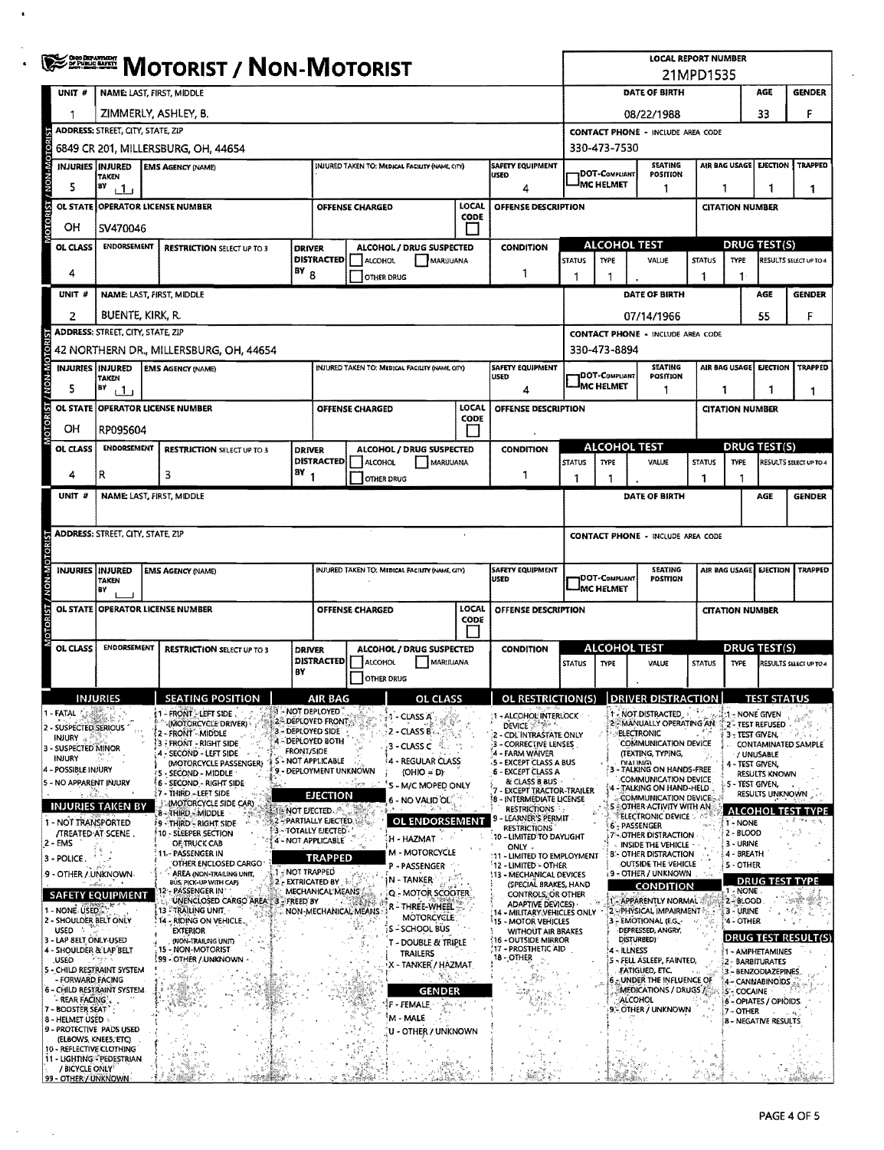|                                                      | <b>OHOO DEPARTMENT</b><br>OF PUBLIC BAFETY<br><b>MOTORIST / NON-MOTORIST</b>                                                                              |                                                         |                   |                                                                               |                        |                                                 |                                       | <b>LOCAL REPORT NUMBER</b><br>21MPD1535                                               |                                           |                                           |                                                                |                                  |                              |                                         |                               |  |  |
|------------------------------------------------------|-----------------------------------------------------------------------------------------------------------------------------------------------------------|---------------------------------------------------------|-------------------|-------------------------------------------------------------------------------|------------------------|-------------------------------------------------|---------------------------------------|---------------------------------------------------------------------------------------|-------------------------------------------|-------------------------------------------|----------------------------------------------------------------|----------------------------------|------------------------------|-----------------------------------------|-------------------------------|--|--|
| UNIT #                                               | NAME: LAST, FIRST, MIDDLE                                                                                                                                 |                                                         |                   |                                                                               |                        |                                                 |                                       |                                                                                       | DATE OF BIRTH<br>AGE<br><b>GENDER</b>     |                                           |                                                                |                                  |                              |                                         |                               |  |  |
| 1                                                    | ZIMMERLY, ASHLEY, B.                                                                                                                                      |                                                         |                   |                                                                               |                        |                                                 |                                       |                                                                                       |                                           |                                           | 08/22/1988                                                     |                                  |                              | 33                                      | F                             |  |  |
|                                                      | ADDRESS: STREET, CITY, STATE, ZIP                                                                                                                         |                                                         |                   |                                                                               |                        |                                                 |                                       |                                                                                       |                                           | <b>CONTACT PHONE - INCLUDE AREA CODE</b>  |                                                                |                                  |                              |                                         |                               |  |  |
|                                                      | 6849 CR 201, MILLERSBURG, OH, 44654                                                                                                                       |                                                         |                   |                                                                               |                        |                                                 |                                       |                                                                                       |                                           |                                           | 330-473-7530                                                   |                                  |                              |                                         |                               |  |  |
|                                                      | INJURIES INJURED                                                                                                                                          | <b>EMS AGENCY (NAME)</b>                                |                   |                                                                               |                        | INJURED TAKEN TO: MEDICAL FACILITY (NAME, CITY) |                                       | <b>SAFETY EQUIPMENT</b>                                                               |                                           | <b>DOT-COMPLIANT</b>                      | <b>SEATING</b><br>POSITION                                     |                                  | AIR BAG USAGE                |                                         | <b>EJECTION TRAPPED</b>       |  |  |
| 5                                                    | ĦΥ<br>$+1$                                                                                                                                                | USED<br><b>TAKEN</b><br>4                               |                   |                                                                               |                        |                                                 |                                       |                                                                                       |                                           | <sup>i</sup> MC HELMET                    | 1                                                              |                                  | 1<br>1<br>1                  |                                         |                               |  |  |
| þ<br><b>OL STATE</b>                                 | <b>OPERATOR LICENSE NUMBER</b><br>LOCAL<br>OFFENSE DESCRIPTION<br><b>OFFENSE CHARGED</b>                                                                  |                                                         |                   |                                                                               |                        |                                                 |                                       |                                                                                       |                                           |                                           |                                                                |                                  | <b>CITATION NUMBER</b>       |                                         |                               |  |  |
| OН                                                   | CODE<br>SV470046                                                                                                                                          |                                                         |                   |                                                                               |                        |                                                 |                                       |                                                                                       |                                           |                                           |                                                                |                                  |                              |                                         |                               |  |  |
| OL CLASS                                             | ENDORSEMENT<br><b>DRIVER</b><br><b>RESTRICTION SELECT UP TO 3</b>                                                                                         |                                                         |                   |                                                                               |                        | ALCOHOL / DRUG SUSPECTED                        |                                       | <b>CONDITION</b>                                                                      | <b>ALCOHOL TEST</b>                       |                                           |                                                                |                                  |                              | <b>DRUG TEST(S)</b>                     |                               |  |  |
| 4                                                    |                                                                                                                                                           | <b>DISTRACTED</b><br>18YB                               |                   |                                                                               | ALCOHOL                | MARIJUANA                                       |                                       |                                                                                       | <b>STATUS</b>                             | TYPE                                      | VALUE                                                          | <b>STATUS</b>                    | <b>TYPE</b>                  |                                         | RESULTS SELECT UP TO 4        |  |  |
|                                                      |                                                                                                                                                           |                                                         |                   |                                                                               |                        | OTHER DRUG                                      |                                       | 1                                                                                     | 1                                         |                                           |                                                                | 1                                | 1                            |                                         |                               |  |  |
| UNIT#                                                | NAME: LAST, FIRST, MIDDLE                                                                                                                                 |                                                         |                   |                                                                               |                        |                                                 |                                       |                                                                                       |                                           |                                           | DATE OF BIRTH                                                  |                                  |                              | AGE                                     | <b>GENDER</b>                 |  |  |
| $\overline{2}$                                       | BUENTE, KIRK, R.<br>ADDRESS: STREET, CITY, STATE, ZIP                                                                                                     |                                                         |                   |                                                                               |                        |                                                 |                                       |                                                                                       |                                           |                                           | 07/14/1966                                                     |                                  |                              | 55                                      | F                             |  |  |
|                                                      |                                                                                                                                                           | 42 NORTHERN DR., MILLERSBURG, OH, 44654                 |                   |                                                                               |                        |                                                 |                                       |                                                                                       |                                           | 330-473-8894                              | <b>CONTACT PHONE - INCLUDE AREA CODE</b>                       |                                  |                              |                                         |                               |  |  |
| INJURIES INJURED                                     |                                                                                                                                                           | <b>EMS AGENCY (NAME)</b>                                |                   |                                                                               |                        | INJURED TAKEN TO: MEDICAL FACILITY (NAME, CITY) |                                       | <b>SAFETY EQUIPMENT</b>                                                               |                                           |                                           | <b>SEATING</b>                                                 |                                  | <b>AIR BAG USAGE</b>         | <b>EJECTION</b>                         | TRAPPED                       |  |  |
| 5                                                    | <b>TAKEN</b><br>BY<br>i 1 i                                                                                                                               |                                                         |                   |                                                                               |                        |                                                 |                                       | <b>USED</b><br>4                                                                      |                                           | <b>IDOT-COMPLIANT</b><br><b>MC HELMET</b> | POSITION<br>1                                                  | 1                                |                              | 1                                       | 1                             |  |  |
|                                                      |                                                                                                                                                           | OL STATE OPERATOR LICENSE NUMBER                        |                   |                                                                               | <b>OFFENSE CHARGED</b> |                                                 | LOCAL                                 | OFFENSE DESCRIPTION                                                                   |                                           |                                           |                                                                |                                  | <b>CITATION NUMBER</b>       |                                         |                               |  |  |
| OН                                                   | RP095604                                                                                                                                                  |                                                         |                   |                                                                               |                        |                                                 | <b>CODE</b>                           |                                                                                       |                                           |                                           |                                                                |                                  |                              |                                         |                               |  |  |
| OL CLASS                                             | ENDORSEMENT                                                                                                                                               | <b>RESTRICTION SELECT UP TO 3</b>                       | <b>DRIVER</b>     |                                                                               |                        | ALCOHOL / DRUG SUSPECTED                        |                                       | <b>CONDITION</b>                                                                      |                                           |                                           | <b>ALCOHOL TEST</b>                                            |                                  |                              | <b>DRUG TEST(S)</b>                     |                               |  |  |
|                                                      |                                                                                                                                                           |                                                         |                   | <b>DISTRACTED</b>                                                             | ALCOHOL                | MARIJUANA                                       |                                       |                                                                                       | <b>STATUS</b>                             | TYPE                                      | VALUE                                                          | <b>STATUS</b>                    | <b>TYPE</b>                  |                                         | <b>RESULTS SELECT UP TO 4</b> |  |  |
| 4                                                    | R                                                                                                                                                         | з                                                       | $18Y_1$           |                                                                               |                        | <b>OTHER DRUG</b>                               |                                       | -1                                                                                    | 1                                         |                                           |                                                                | 1                                |                              |                                         |                               |  |  |
| UNIT #                                               | <b>NAME: LAST, FIRST, MIDDLE</b>                                                                                                                          |                                                         |                   |                                                                               |                        |                                                 |                                       |                                                                                       |                                           |                                           | DATE OF BIRTH                                                  |                                  |                              | <b>AGE</b>                              | <b>GENDER</b>                 |  |  |
|                                                      |                                                                                                                                                           |                                                         |                   |                                                                               |                        |                                                 |                                       |                                                                                       |                                           |                                           |                                                                |                                  |                              |                                         |                               |  |  |
|                                                      | ADDRESS: STREET, CITY, STATE, ZIP                                                                                                                         |                                                         |                   |                                                                               |                        |                                                 |                                       |                                                                                       | <b>CONTACT PHONE - INCLUDE AREA CODE</b>  |                                           |                                                                |                                  |                              |                                         |                               |  |  |
|                                                      |                                                                                                                                                           |                                                         |                   |                                                                               |                        |                                                 |                                       |                                                                                       |                                           |                                           | <b>SEATING</b>                                                 |                                  |                              |                                         |                               |  |  |
|                                                      | INJURIES INJURED<br><b>SAFETY EQUIPMENT</b><br>INJURED TAKEN TO: MEDICAL FACILITY (NAME, CITY)<br><b>EMS AGENCY (NAME)</b><br><b>USED</b><br><b>TAKEN</b> |                                                         |                   |                                                                               |                        |                                                 |                                       |                                                                                       | <b>DOT-COMPLIANT</b><br><b>IMC HELMET</b> | POSITION                                  |                                                                | AIR BAG USAGE                    | <b>EJECTION</b>              | <b>TRAPPED</b>                          |                               |  |  |
|                                                      | BY                                                                                                                                                        | OL STATE OPERATOR LICENSE NUMBER                        |                   |                                                                               | <b>OFFENSE CHARGED</b> |                                                 | LOCAL                                 | OFFENSE DESCRIPTION                                                                   |                                           |                                           |                                                                |                                  |                              |                                         |                               |  |  |
|                                                      |                                                                                                                                                           |                                                         |                   |                                                                               |                        |                                                 | CODE                                  |                                                                                       |                                           |                                           |                                                                |                                  | <b>CITATION NUMBER</b>       |                                         |                               |  |  |
| <b>OL CLASS</b>                                      | <b>ENDORSEMENT</b>                                                                                                                                        | <b>RESTRICTION SELECT UP TO 3</b>                       | <b>DRIVER</b>     |                                                                               |                        | ALCOHOL / DRUG SUSPECTED                        |                                       | <b>CONDITION</b>                                                                      |                                           |                                           | <b>ALCOHOL TEST</b>                                            |                                  |                              | DRUG TEST(S)                            |                               |  |  |
|                                                      |                                                                                                                                                           |                                                         | BY                |                                                                               | DISTRACTED   ALCOHOL   | MARIJUANA                                       |                                       |                                                                                       | <b>STATUS</b>                             | <b>TYPE</b>                               | VALUE                                                          | <b>STATUS</b>                    | <b>TYPE</b>                  |                                         | <b>RESULTS SELECT UP TO 4</b> |  |  |
|                                                      |                                                                                                                                                           |                                                         |                   |                                                                               | <b>OTHER DRUG</b>      |                                                 |                                       |                                                                                       |                                           |                                           |                                                                |                                  |                              |                                         |                               |  |  |
|                                                      | <b>INTURIES</b>                                                                                                                                           | $\sqrt{2}$ SEATING POSITION                             |                   | AIR RAG                                                                       |                        | OL CLASS.                                       |                                       | $\mid$ ol restriction(s) DRIVER DISTRACTION                                           |                                           |                                           |                                                                |                                  |                              | <b>TEST STATUS</b>                      |                               |  |  |
| 1 - FATAL<br>2 - SUSPECTED SERIOUS                   |                                                                                                                                                           | 1 - FRONT - LEFT SIDE<br><b>IMOTORCYCLE DRIVER!</b>     |                   | 1 - NOT DEPLOYED<br>2 - DEPLOVED FRONT<br>3 - DEPLOYED SIDE                   |                        | -1 - CLASS A                                    |                                       | 1 - ALCOHOL INTERLOCK<br><b>DEVICE</b>                                                |                                           |                                           | 1-NOT DISTRACTED<br>2 - MANUALLY OPERATING AN                  |                                  | <b>1 - NONE GIVEN</b>        | 2- TEST REFUSED                         |                               |  |  |
| INJURY<br>3 - SUSPECTED MINOR                        |                                                                                                                                                           | 2 - FRONT - MIDDLE<br>3 - FRONT - RIGHT SIDE            |                   | 4 - DEPLOYED BOTH                                                             |                        | <b>2 - CLASS B</b><br>3 - CLASS C               |                                       | 2 - CDL'INTRASTATE ONLY<br>3 - CORRECTIVE LENSES                                      |                                           |                                           | <b>ELECTRONIC</b><br>COMMUNICATION DEVICE                      |                                  | 3 - TEST GIVEN.              |                                         | <b>CONTAMINATED SAMPLE</b>    |  |  |
| INJURY<br>4 - POSSIBLE INJURY                        |                                                                                                                                                           | 4 - SECOND - LEFT SIDE<br>(MOTORCYCLE PASSENGER)        | <b>FRONT/SIDE</b> | S - NOT APPLICABLE                                                            |                        | 4 - REGULAR CLASS                               |                                       | '4 - FARM WAIVER<br>-5 - EXCEPT CLASS A BUS                                           |                                           |                                           | (TEXTING, TYPING,<br><b>DIALING</b><br>- TALKING ON HANDS-FREE |                                  | 4 - TEST GIVEN,              | / UNUSABLE                              |                               |  |  |
| 5 - NO APPARENT INJURY                               |                                                                                                                                                           | - SECOND - MIDDLE<br>6 - SECOND - RIGHT SIDE            |                   | 9 - DEPLOYMENT UNKNOWN<br>$(OHIO = D)$<br><b>Sidney</b><br>S - M/C MOPED ONLY |                        |                                                 | 6 - EXCEPT CLASS A<br>& CLASS B BUS - | COMMUNICATION DEVICE<br>- TALKING ON HAND-HELD<br>14<br><b>EXCEPT TRACTOR-TRAILER</b> |                                           |                                           |                                                                | RESULTS KNOWN<br>5 - TEST GIVEN. |                              |                                         |                               |  |  |
| 33                                                   | <b>INJURIES TAKEN BY</b>                                                                                                                                  | 17 - THIRD - LEFT SIDE<br><b>MOTORCYCLE SIDE CAR)</b>   |                   | EJECTION                                                                      |                        | 6 - NO VALID OL                                 |                                       | 18 - INTERMEDIATE LICENSE<br><b>RESTRICTIONS</b>                                      |                                           |                                           | <b>COMMUNICATION DEVICE:</b><br>5 COTHER ACTIVITY WITH AN      |                                  |                              | RESULTS UNKNOWN                         |                               |  |  |
| 1 - NOT TRANSPORTED                                  |                                                                                                                                                           | 8 - THIRD - MIDDLE<br><b>19 - THIRD - RIGHT SIDE</b>    |                   | 超接NOT EJECTED. 85<br><b>2-PARTIALLY EJECTED</b>                               |                        | OL ENDORSEMENT                                  |                                       | LEARNER'S PERMIT<br><b>RESTRICTIONS</b>                                               |                                           |                                           | <b>ELECTRONIC DEVICE:</b><br>6 - PASSENGER                     |                                  | 1 - NONE                     |                                         | <b>ALCOHOL TEST TYPE</b>      |  |  |
| 2 - EMS                                              | /TREATED AT SCENE.                                                                                                                                        | 10 - SLEEPER SECTION<br>OF TRUCK CAB                    |                   | 3~TOTALLY EJECTED<br>4 - NOT APPLICABLE                                       |                        | H - HAZMAT                                      |                                       | 10 - LIMITED TO DAYLIGHT<br>ONLY .                                                    |                                           |                                           | 7 - OTHER DISTRACTION<br><b>INSIDE THE VEHICLE</b>             |                                  | 2 - BLOOD<br>3 - URINE       |                                         |                               |  |  |
| 3 - POLICE.                                          |                                                                                                                                                           | 11 - PASSENGER IN<br>OTHER ENCLOSED CARGO               |                   | TRAPPED                                                                       |                        | M - MOTORCYCLE<br>P - PASSENGER                 |                                       | 11 - LIMITED TO EMPLOYMENT<br>12 - LIMITED - OTHER                                    |                                           |                                           | 8 - OTHER DISTRACTION<br>OUTSIDE THE VEHICLE                   |                                  | 4 - SREATH<br><b>5-OTHER</b> |                                         |                               |  |  |
| 9 - OTHER / UNKNOWN-                                 |                                                                                                                                                           | AREA (NON-TRAILING UNIT,<br>BUS PICK-UP WITH CAPI       | 1 - NOT TRAPPED   | 2 - EXTRICATED BY                                                             |                        | N TANKER                                        |                                       | 113 - MECHANICAL DEVICES<br>(SPECIAL BRAKES, HAND                                     |                                           |                                           | <b>9 - OTHER / UNKNOWN</b><br>CONDITION                        |                                  |                              |                                         | <b>DRUG TEST TYPE</b>         |  |  |
|                                                      | <b>SAFETY EQUIPMENT</b>                                                                                                                                   | <b>PASSENGER IN</b><br>UNENCLOSED CARGO AREA 3 FREED BY |                   | MECHANICAL MEANS                                                              |                        | Q - MOTOR SCOOTER<br>r - Three-Wheel            |                                       | CONTROLS, OR OTHER<br><b>ADAPTIVE DEVICES)</b>                                        |                                           |                                           | APPARENTLY NORMAL                                              |                                  | 1 - NONE<br>2-8LOOD          |                                         |                               |  |  |
| 1 - NONE USED.<br>2 - SHOULDER BELT ONLY             |                                                                                                                                                           | 13 FTRAILING UNIT.<br>14 - RIDING ON VEHICLE.           |                   |                                                                               | NON-MECHANICAL MEANS   | <b>MOTORCYCLE</b>                               |                                       | 14 - MILITARY VEHICLES ONLY<br><b>15 - MOTOR VEHICLES</b>                             |                                           |                                           | 2 - PHYSICAL IMPAIRMENT 5<br>3 - EMOTIONAL (E.G.               |                                  | 3 - URINE<br>'4 - OTHER      |                                         | 54                            |  |  |
| USED<br>3 - LAP SELT ONLY-USED                       |                                                                                                                                                           | <b>EXTERIOR</b><br>(NON-TRAILING UNIT)                  |                   |                                                                               |                        | S - SCHOOL BUS<br>- DOUBLE & TRIPLE             |                                       | <b>WITHOUT AIR BRAKES</b><br>(16 - OUTSIDE MIRROR                                     |                                           |                                           | DEPRESSED, ANGRY,<br>DISTURBED)                                |                                  |                              |                                         | DRUG TEST RESULT(S)           |  |  |
| 4 - SHOULDER & LAP BELT<br>,USED                     |                                                                                                                                                           | 15 - NON-MOTORIST<br><b>199 - OTHER / UNKNOWN</b>       |                   |                                                                               |                        | TRAILERS<br>- TANKER / HAZMAT                   |                                       | 17 - PROSTHETIC AID<br>18 - OTHER                                                     |                                           |                                           | <b>4 - ILLNESS</b><br>S - FELL ASLEEP, FAINTED,                |                                  |                              | 1 - AMPHETAMINES<br>2 - BARBITURATES    |                               |  |  |
| 5 - CHILD RESTRAINT SYSTEM<br>- FORWARD FACING       |                                                                                                                                                           |                                                         |                   |                                                                               |                        | 医杆菌<br>Y                                        |                                       |                                                                                       |                                           |                                           | FATIGUED, ETC.<br>6 . UNDER THE INFLUENCE OF                   |                                  |                              | 3 - BENZODIAZEPINES<br>4 - CANNABINOIDS |                               |  |  |
| - REAR FACING ".                                     | <b>6 - CHILD RESTRAINT SYSTEM.</b>                                                                                                                        | 光響き                                                     |                   |                                                                               |                        | <b>GENDER</b><br>F - FEMALE                     |                                       |                                                                                       |                                           |                                           | MEDICATIONS / DRUGS /<br><b>ALCOHOL</b>                        |                                  | <b>S-COCAINE</b>             | 6 - OPIATES / OPIOIDS                   |                               |  |  |
| 7 - BOOSTER SEAT<br>8 - HELMET USED                  |                                                                                                                                                           |                                                         |                   |                                                                               |                        | M - MALE                                        |                                       |                                                                                       |                                           |                                           | 9 - OTHER / UNKNOWN                                            |                                  | 7 - OTHER                    | <b>8 - NEGATIVE RESULTS</b>             |                               |  |  |
| 9 - PROTECTIVE PADS USED                             | (ELBOWS, KNEES, ETC)                                                                                                                                      |                                                         |                   |                                                                               |                        | U - OTHER / UNKNOWN                             |                                       |                                                                                       |                                           |                                           |                                                                |                                  |                              |                                         |                               |  |  |
| 10 - REFLECTIVE CLOTHING<br>11 - LIGHTING PEDESTRIAN |                                                                                                                                                           | 增建                                                      |                   |                                                                               |                        |                                                 |                                       |                                                                                       |                                           |                                           |                                                                |                                  |                              |                                         |                               |  |  |
| / BICYCLE ONLY <sup>5</sup><br>99 - OTHER / UNKNOWN  | Πe                                                                                                                                                        |                                                         |                   |                                                                               |                        |                                                 |                                       |                                                                                       |                                           |                                           |                                                                |                                  |                              |                                         |                               |  |  |

 $\ddot{\phantom{1}}$ 

 $\bar{\gamma}$ 

 $\sim$ 

 $\mathbf{v}$